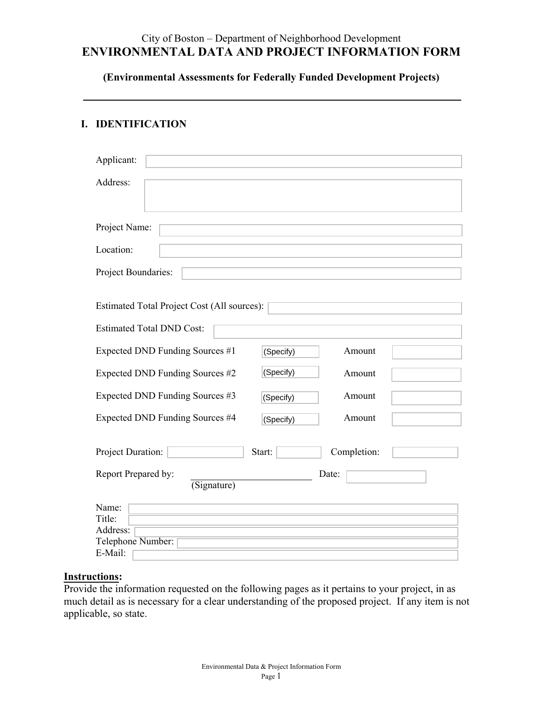# City of Boston – Department of Neighborhood Development **ENVIRONMENTAL DATA AND PROJECT INFORMATION FORM**

**(Environmental Assessments for Federally Funded Development Projects)**

### **I. IDENTIFICATION**

| Applicant:                                  |           |             |  |
|---------------------------------------------|-----------|-------------|--|
| Address:                                    |           |             |  |
| Project Name:                               |           |             |  |
| Location:                                   |           |             |  |
| Project Boundaries:                         |           |             |  |
| Estimated Total Project Cost (All sources): |           |             |  |
| <b>Estimated Total DND Cost:</b>            |           |             |  |
| Expected DND Funding Sources #1             | (Specify) | Amount      |  |
| Expected DND Funding Sources #2             | (Specify) | Amount      |  |
| Expected DND Funding Sources #3             | (Specify) | Amount      |  |
| Expected DND Funding Sources #4             | (Specify) | Amount      |  |
| Project Duration:                           | Start:    | Completion: |  |
| Report Prepared by:<br>(Signature)          |           | Date:       |  |
| Name:<br>Title:<br>Address:                 |           |             |  |
| Telephone Number:                           |           |             |  |
| E-Mail:                                     |           |             |  |

# **Instructions:**

Provide the information requested on the following pages as it pertains to your project, in as much detail as is necessary for a clear understanding of the proposed project. If any item is not applicable, so state.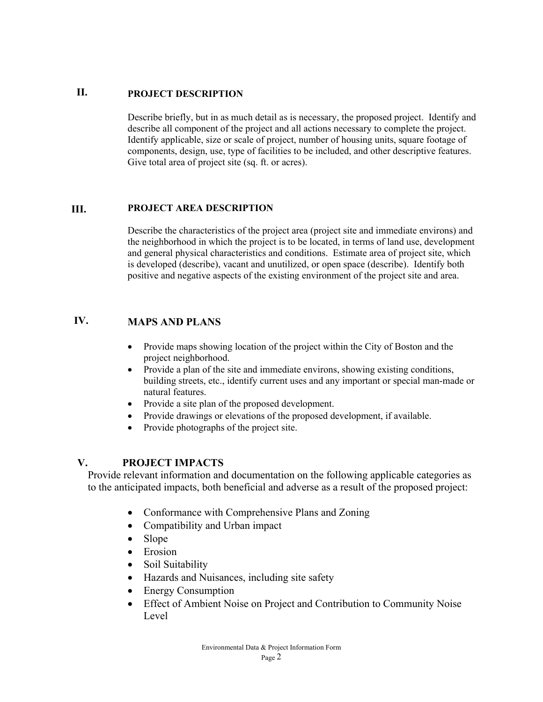#### **II. PROJECT DESCRIPTION**

Describe briefly, but in as much detail as is necessary, the proposed project. Identify and describe all component of the project and all actions necessary to complete the project. Identify applicable, size or scale of project, number of housing units, square footage of components, design, use, type of facilities to be included, and other descriptive features. Give total area of project site (sq. ft. or acres).

#### **III. PROJECT AREA DESCRIPTION**

Describe the characteristics of the project area (project site and immediate environs) and the neighborhood in which the project is to be located, in terms of land use, development and general physical characteristics and conditions. Estimate area of project site, which is developed (describe), vacant and unutilized, or open space (describe). Identify both positive and negative aspects of the existing environment of the project site and area.

## **IV. MAPS AND PLANS**

- Provide maps showing location of the project within the City of Boston and the project neighborhood.
- Provide a plan of the site and immediate environs, showing existing conditions, building streets, etc., identify current uses and any important or special man-made or natural features.
- Provide a site plan of the proposed development.
- Provide drawings or elevations of the proposed development, if available.
- Provide photographs of the project site.

### **V. PROJECT IMPACTS**

Provide relevant information and documentation on the following applicable categories as to the anticipated impacts, both beneficial and adverse as a result of the proposed project:

- Conformance with Comprehensive Plans and Zoning
- Compatibility and Urban impact
- Slope
- Erosion
- Soil Suitability
- Hazards and Nuisances, including site safety
- Energy Consumption
- Effect of Ambient Noise on Project and Contribution to Community Noise Level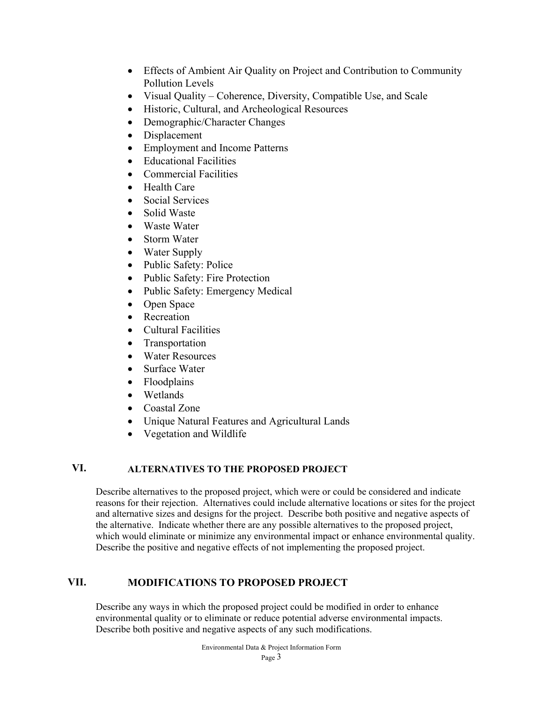- Effects of Ambient Air Quality on Project and Contribution to Community Pollution Levels
- Visual Quality Coherence, Diversity, Compatible Use, and Scale
- Historic, Cultural, and Archeological Resources
- Demographic/Character Changes
- Displacement
- Employment and Income Patterns
- Educational Facilities
- Commercial Facilities
- Health Care
- Social Services
- Solid Waste
- Waste Water
- Storm Water
- Water Supply
- Public Safety: Police
- Public Safety: Fire Protection
- Public Safety: Emergency Medical
- Open Space
- Recreation
- Cultural Facilities
- Transportation
- Water Resources
- Surface Water
- Floodplains
- Wetlands
- Coastal Zone
- Unique Natural Features and Agricultural Lands
- Vegetation and Wildlife

# **VI. ALTERNATIVES TO THE PROPOSED PROJECT**

Describe alternatives to the proposed project, which were or could be considered and indicate reasons for their rejection. Alternatives could include alternative locations or sites for the project and alternative sizes and designs for the project. Describe both positive and negative aspects of the alternative. Indicate whether there are any possible alternatives to the proposed project, which would eliminate or minimize any environmental impact or enhance environmental quality. Describe the positive and negative effects of not implementing the proposed project.

#### **VII. MODIFICATIONS TO PROPOSED PROJECT**

Describe any ways in which the proposed project could be modified in order to enhance environmental quality or to eliminate or reduce potential adverse environmental impacts. Describe both positive and negative aspects of any such modifications.